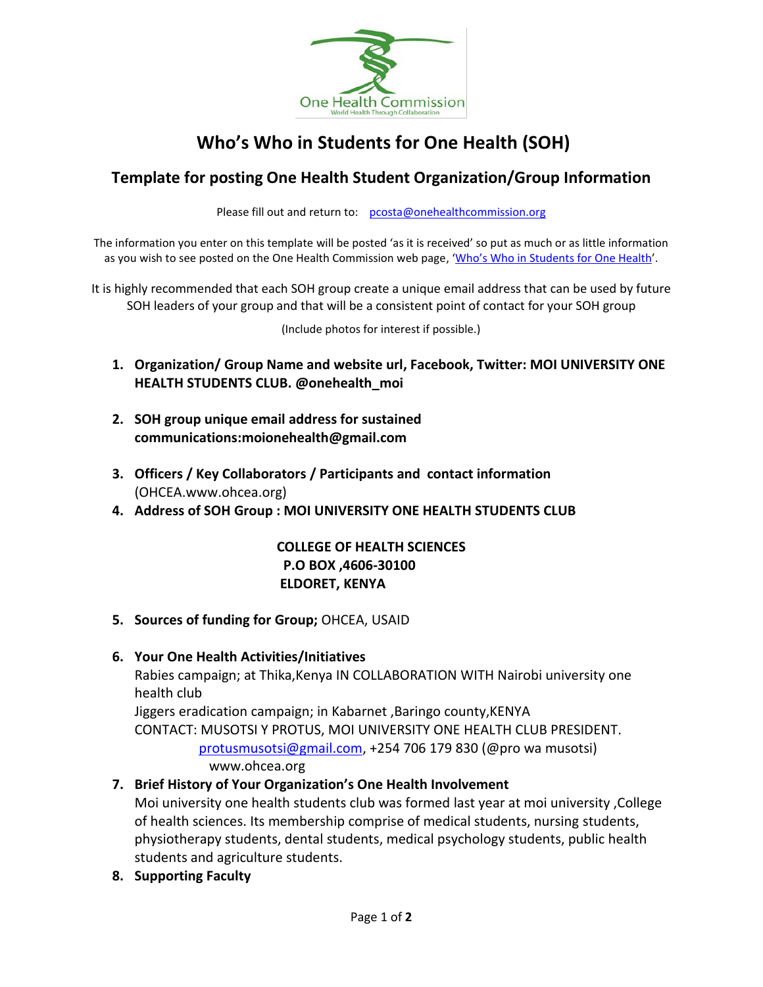

# **Who's Who in Students for One Health (SOH)**

# **Template for posting One Health Student Organization/Group Information**

Please fill out and return to: [pcosta@onehealthcommission.org](mailto:pcosta@onehealthcommission.org)

The information you enter on this template will be posted 'as it is received' so put as much or as little information as you wish to see posted on the One Health Commission web page, 'Who's Who in [Students for](https://www.onehealthcommission.org/en/one_health_news/student_news/whos_who_in_soh/) One Health'.

It is highly recommended that each SOH group create a unique email address that can be used by future SOH leaders of your group and that will be a consistent point of contact for your SOH group

(Include photos for interest if possible.)

- **1. Organization/ Group Name and website url, Facebook, Twitter: MOI UNIVERSITY ONE HEALTH STUDENTS CLUB. @onehealth\_moi**
- **2. SOH group unique email address for sustained communications:moionehealth@gmail.com**
- **3. Officers / Key Collaborators / Participants and contact information**  (OHCEA.www.ohcea.org)
- **4. Address of SOH Group : MOI UNIVERSITY ONE HEALTH STUDENTS CLUB**

#### **COLLEGE OF HEALTH SCIENCES P.O BOX ,4606-30100 ELDORET, KENYA**

#### **5. Sources of funding for Group;** OHCEA, USAID

#### **6. Your One Health Activities/Initiatives**

Rabies campaign; at Thika,Kenya IN COLLABORATION WITH Nairobi university one health club

Jiggers eradication campaign; in Kabarnet ,Baringo county,KENYA

CONTACT: MUSOTSI Y PROTUS, MOI UNIVERSITY ONE HEALTH CLUB PRESIDENT.

 [protusmusotsi@gmail.com,](mailto:protusmusotsi@gmail.com) +254 706 179 830 (@pro wa musotsi) www.ohcea.org

### **7. Brief History of Your Organization's One Health Involvement**

Moi university one health students club was formed last year at moi university ,College of health sciences. Its membership comprise of medical students, nursing students, physiotherapy students, dental students, medical psychology students, public health students and agriculture students.

**8. Supporting Faculty**